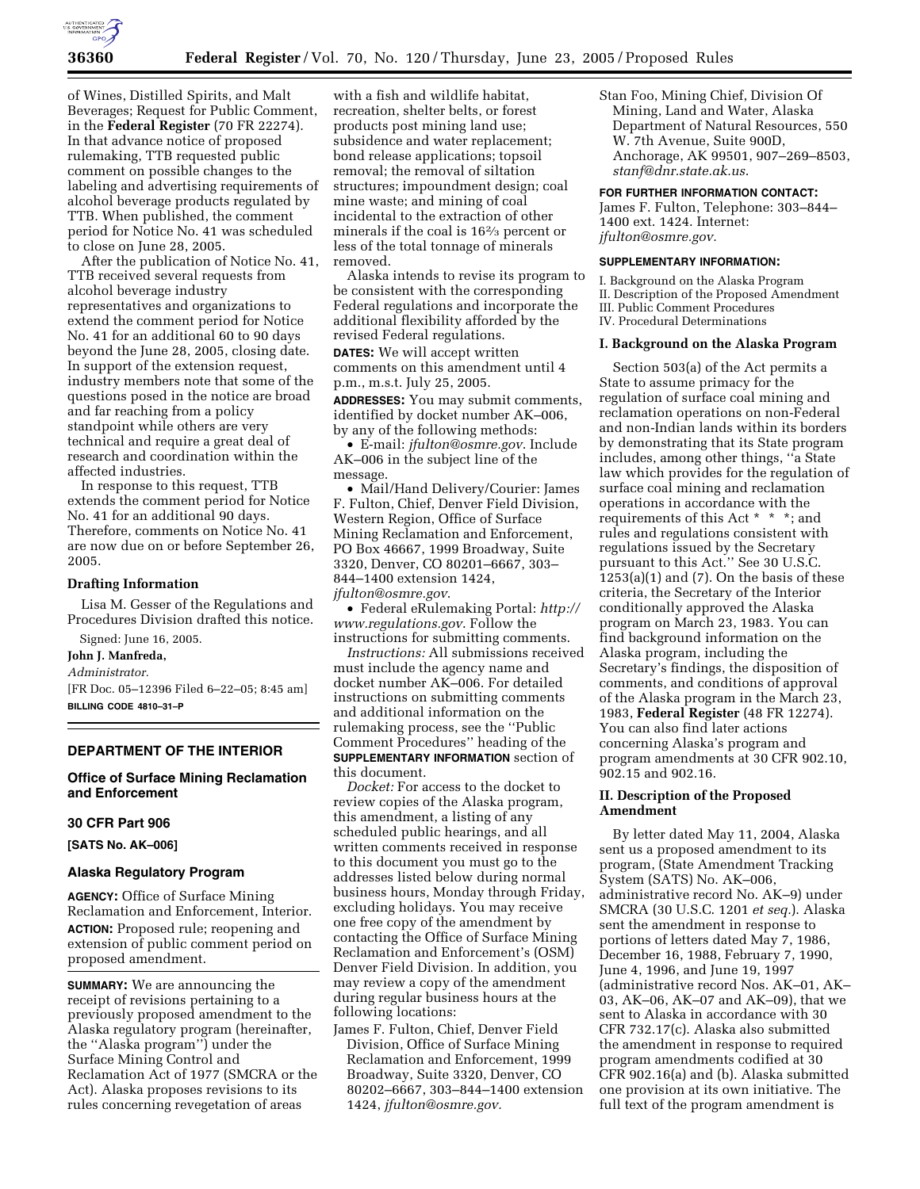

of Wines, Distilled Spirits, and Malt Beverages; Request for Public Comment, in the **Federal Register** (70 FR 22274). In that advance notice of proposed rulemaking, TTB requested public comment on possible changes to the labeling and advertising requirements of alcohol beverage products regulated by TTB. When published, the comment period for Notice No. 41 was scheduled to close on June 28, 2005.

After the publication of Notice No. 41, TTB received several requests from alcohol beverage industry representatives and organizations to extend the comment period for Notice No. 41 for an additional 60 to 90 days beyond the June 28, 2005, closing date. In support of the extension request, industry members note that some of the questions posed in the notice are broad and far reaching from a policy standpoint while others are very technical and require a great deal of research and coordination within the affected industries.

In response to this request, TTB extends the comment period for Notice No. 41 for an additional 90 days. Therefore, comments on Notice No. 41 are now due on or before September 26, 2005.

#### **Drafting Information**

Lisa M. Gesser of the Regulations and Procedures Division drafted this notice.

Signed: June 16, 2005.

# **John J. Manfreda,**

*Administrator.*

[FR Doc. 05–12396 Filed 6–22–05; 8:45 am] **BILLING CODE 4810–31–P**

## **DEPARTMENT OF THE INTERIOR**

## **Office of Surface Mining Reclamation and Enforcement**

#### **30 CFR Part 906**

**[SATS No. AK–006]** 

### **Alaska Regulatory Program**

**AGENCY:** Office of Surface Mining Reclamation and Enforcement, Interior. **ACTION:** Proposed rule; reopening and extension of public comment period on proposed amendment.

**SUMMARY:** We are announcing the receipt of revisions pertaining to a previously proposed amendment to the Alaska regulatory program (hereinafter, the ''Alaska program'') under the Surface Mining Control and Reclamation Act of 1977 (SMCRA or the Act). Alaska proposes revisions to its rules concerning revegetation of areas

with a fish and wildlife habitat, recreation, shelter belts, or forest products post mining land use; subsidence and water replacement; bond release applications; topsoil removal; the removal of siltation structures; impoundment design; coal mine waste; and mining of coal incidental to the extraction of other minerals if the coal is 162⁄3 percent or less of the total tonnage of minerals removed.

Alaska intends to revise its program to be consistent with the corresponding Federal regulations and incorporate the additional flexibility afforded by the revised Federal regulations. **DATES:** We will accept written comments on this amendment until 4 p.m., m.s.t. July 25, 2005.

**ADDRESSES:** You may submit comments, identified by docket number AK–006, by any of the following methods:

• E-mail: *jfulton@osmre.gov*. Include AK–006 in the subject line of the message.

• Mail/Hand Delivery/Courier: James F. Fulton, Chief, Denver Field Division, Western Region, Office of Surface Mining Reclamation and Enforcement, PO Box 46667, 1999 Broadway, Suite 3320, Denver, CO 80201–6667, 303– 844–1400 extension 1424, *jfulton@osmre.gov*.

• Federal eRulemaking Portal: *http:// www.regulations.gov*. Follow the instructions for submitting comments.

*Instructions:* All submissions received must include the agency name and docket number AK–006. For detailed instructions on submitting comments and additional information on the rulemaking process, see the ''Public Comment Procedures'' heading of the **SUPPLEMENTARY INFORMATION** section of this document.

*Docket:* For access to the docket to review copies of the Alaska program, this amendment, a listing of any scheduled public hearings, and all written comments received in response to this document you must go to the addresses listed below during normal business hours, Monday through Friday, excluding holidays. You may receive one free copy of the amendment by contacting the Office of Surface Mining Reclamation and Enforcement's (OSM) Denver Field Division. In addition, you may review a copy of the amendment during regular business hours at the following locations:

James F. Fulton, Chief, Denver Field Division, Office of Surface Mining Reclamation and Enforcement, 1999 Broadway, Suite 3320, Denver, CO 80202–6667, 303–844–1400 extension 1424, *jfulton@osmre.gov.*

Stan Foo, Mining Chief, Division Of Mining, Land and Water, Alaska Department of Natural Resources, 550 W. 7th Avenue, Suite 900D, Anchorage, AK 99501, 907–269–8503, *stanf@dnr.state.ak.us*.

#### **FOR FURTHER INFORMATION CONTACT:**

James F. Fulton, Telephone: 303–844– 1400 ext. 1424. Internet: *jfulton@osmre.gov.*

#### **SUPPLEMENTARY INFORMATION:**

I. Background on the Alaska Program II. Description of the Proposed Amendment III. Public Comment Procedures IV. Procedural Determinations

### **I. Background on the Alaska Program**

Section 503(a) of the Act permits a State to assume primacy for the regulation of surface coal mining and reclamation operations on non-Federal and non-Indian lands within its borders by demonstrating that its State program includes, among other things, ''a State law which provides for the regulation of surface coal mining and reclamation operations in accordance with the requirements of this Act \* \* \*; and rules and regulations consistent with regulations issued by the Secretary pursuant to this Act.'' See 30 U.S.C.  $1253(a)(1)$  and  $(7)$ . On the basis of these criteria, the Secretary of the Interior conditionally approved the Alaska program on March 23, 1983. You can find background information on the Alaska program, including the Secretary's findings, the disposition of comments, and conditions of approval of the Alaska program in the March 23, 1983, **Federal Register** (48 FR 12274). You can also find later actions concerning Alaska's program and program amendments at 30 CFR 902.10, 902.15 and 902.16.

### **II. Description of the Proposed Amendment**

By letter dated May 11, 2004, Alaska sent us a proposed amendment to its program, (State Amendment Tracking System (SATS) No. AK–006, administrative record No. AK–9) under SMCRA (30 U.S.C. 1201 *et seq.*). Alaska sent the amendment in response to portions of letters dated May 7, 1986, December 16, 1988, February 7, 1990, June 4, 1996, and June 19, 1997 (administrative record Nos. AK–01, AK– 03, AK–06, AK–07 and AK–09), that we sent to Alaska in accordance with 30 CFR 732.17(c). Alaska also submitted the amendment in response to required program amendments codified at 30 CFR 902.16(a) and (b). Alaska submitted one provision at its own initiative. The full text of the program amendment is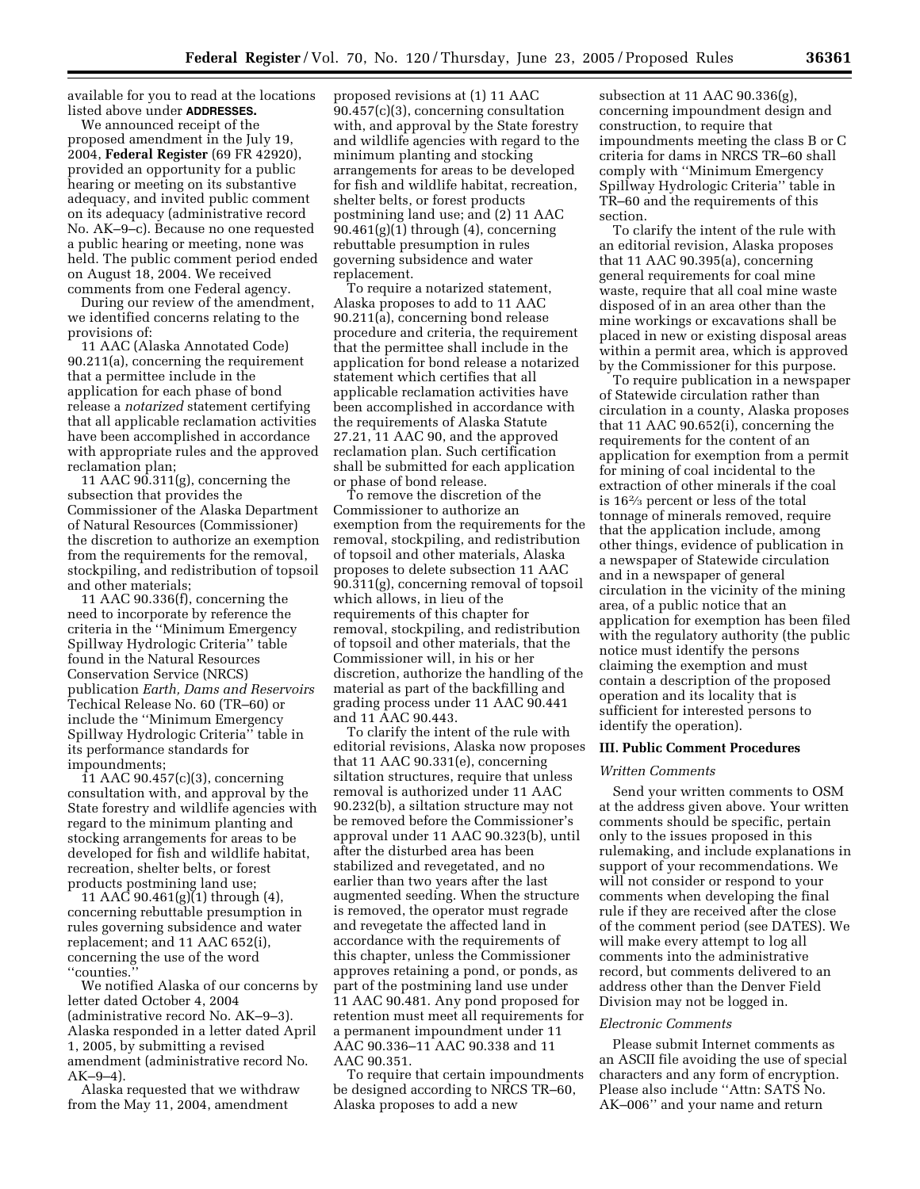available for you to read at the locations listed above under **ADDRESSES.**

We announced receipt of the proposed amendment in the July 19, 2004, **Federal Register** (69 FR 42920), provided an opportunity for a public hearing or meeting on its substantive adequacy, and invited public comment on its adequacy (administrative record No. AK–9–c). Because no one requested a public hearing or meeting, none was held. The public comment period ended on August 18, 2004. We received comments from one Federal agency.

During our review of the amendment, we identified concerns relating to the provisions of:

11 AAC (Alaska Annotated Code) 90.211(a), concerning the requirement that a permittee include in the application for each phase of bond release a *notarized* statement certifying that all applicable reclamation activities have been accomplished in accordance with appropriate rules and the approved reclamation plan;

11 AAC 90.311(g), concerning the subsection that provides the Commissioner of the Alaska Department of Natural Resources (Commissioner) the discretion to authorize an exemption from the requirements for the removal, stockpiling, and redistribution of topsoil and other materials;

11 AAC 90.336(f), concerning the need to incorporate by reference the criteria in the ''Minimum Emergency Spillway Hydrologic Criteria'' table found in the Natural Resources Conservation Service (NRCS) publication *Earth, Dams and Reservoirs* Techical Release No. 60 (TR–60) or include the ''Minimum Emergency Spillway Hydrologic Criteria'' table in its performance standards for impoundments;

11 AAC 90.457(c)(3), concerning consultation with, and approval by the State forestry and wildlife agencies with regard to the minimum planting and stocking arrangements for areas to be developed for fish and wildlife habitat, recreation, shelter belts, or forest products postmining land use;

11 AAC 90.461(g)(1) through (4), concerning rebuttable presumption in rules governing subsidence and water replacement; and 11 AAC 652(i), concerning the use of the word ''counties.''

We notified Alaska of our concerns by letter dated October 4, 2004 (administrative record No. AK–9–3). Alaska responded in a letter dated April 1, 2005, by submitting a revised amendment (administrative record No. AK–9–4).

Alaska requested that we withdraw from the May 11, 2004, amendment

proposed revisions at (1) 11 AAC 90.457(c)(3), concerning consultation with, and approval by the State forestry and wildlife agencies with regard to the minimum planting and stocking arrangements for areas to be developed for fish and wildlife habitat, recreation, shelter belts, or forest products postmining land use; and (2) 11 AAC  $90.461(g)(1)$  through  $(4)$ , concerning rebuttable presumption in rules governing subsidence and water replacement.

To require a notarized statement, Alaska proposes to add to 11 AAC 90.211(a), concerning bond release procedure and criteria, the requirement that the permittee shall include in the application for bond release a notarized statement which certifies that all applicable reclamation activities have been accomplished in accordance with the requirements of Alaska Statute 27.21, 11 AAC 90, and the approved reclamation plan. Such certification shall be submitted for each application or phase of bond release.

To remove the discretion of the Commissioner to authorize an exemption from the requirements for the removal, stockpiling, and redistribution of topsoil and other materials, Alaska proposes to delete subsection 11 AAC 90.311(g), concerning removal of topsoil which allows, in lieu of the requirements of this chapter for removal, stockpiling, and redistribution of topsoil and other materials, that the Commissioner will, in his or her discretion, authorize the handling of the material as part of the backfilling and grading process under 11 AAC 90.441 and 11 AAC 90.443.

To clarify the intent of the rule with editorial revisions, Alaska now proposes that 11 AAC 90.331(e), concerning siltation structures, require that unless removal is authorized under 11 AAC 90.232(b), a siltation structure may not be removed before the Commissioner's approval under 11 AAC 90.323(b), until after the disturbed area has been stabilized and revegetated, and no earlier than two years after the last augmented seeding. When the structure is removed, the operator must regrade and revegetate the affected land in accordance with the requirements of this chapter, unless the Commissioner approves retaining a pond, or ponds, as part of the postmining land use under 11 AAC 90.481. Any pond proposed for retention must meet all requirements for a permanent impoundment under 11 AAC 90.336–11 AAC 90.338 and 11 AAC 90.351.

To require that certain impoundments be designed according to NRCS TR–60, Alaska proposes to add a new

subsection at 11 AAC 90.336(g), concerning impoundment design and construction, to require that impoundments meeting the class B or C criteria for dams in NRCS TR–60 shall comply with ''Minimum Emergency Spillway Hydrologic Criteria'' table in TR–60 and the requirements of this section.

To clarify the intent of the rule with an editorial revision, Alaska proposes that 11 AAC 90.395(a), concerning general requirements for coal mine waste, require that all coal mine waste disposed of in an area other than the mine workings or excavations shall be placed in new or existing disposal areas within a permit area, which is approved by the Commissioner for this purpose.

To require publication in a newspaper of Statewide circulation rather than circulation in a county, Alaska proposes that 11 AAC 90.652(i), concerning the requirements for the content of an application for exemption from a permit for mining of coal incidental to the extraction of other minerals if the coal is 162⁄3 percent or less of the total tonnage of minerals removed, require that the application include, among other things, evidence of publication in a newspaper of Statewide circulation and in a newspaper of general circulation in the vicinity of the mining area, of a public notice that an application for exemption has been filed with the regulatory authority (the public notice must identify the persons claiming the exemption and must contain a description of the proposed operation and its locality that is sufficient for interested persons to identify the operation).

#### **III. Public Comment Procedures**

#### *Written Comments*

Send your written comments to OSM at the address given above. Your written comments should be specific, pertain only to the issues proposed in this rulemaking, and include explanations in support of your recommendations. We will not consider or respond to your comments when developing the final rule if they are received after the close of the comment period (see DATES). We will make every attempt to log all comments into the administrative record, but comments delivered to an address other than the Denver Field Division may not be logged in.

#### *Electronic Comments*

Please submit Internet comments as an ASCII file avoiding the use of special characters and any form of encryption. Please also include ''Attn: SATS No. AK–006'' and your name and return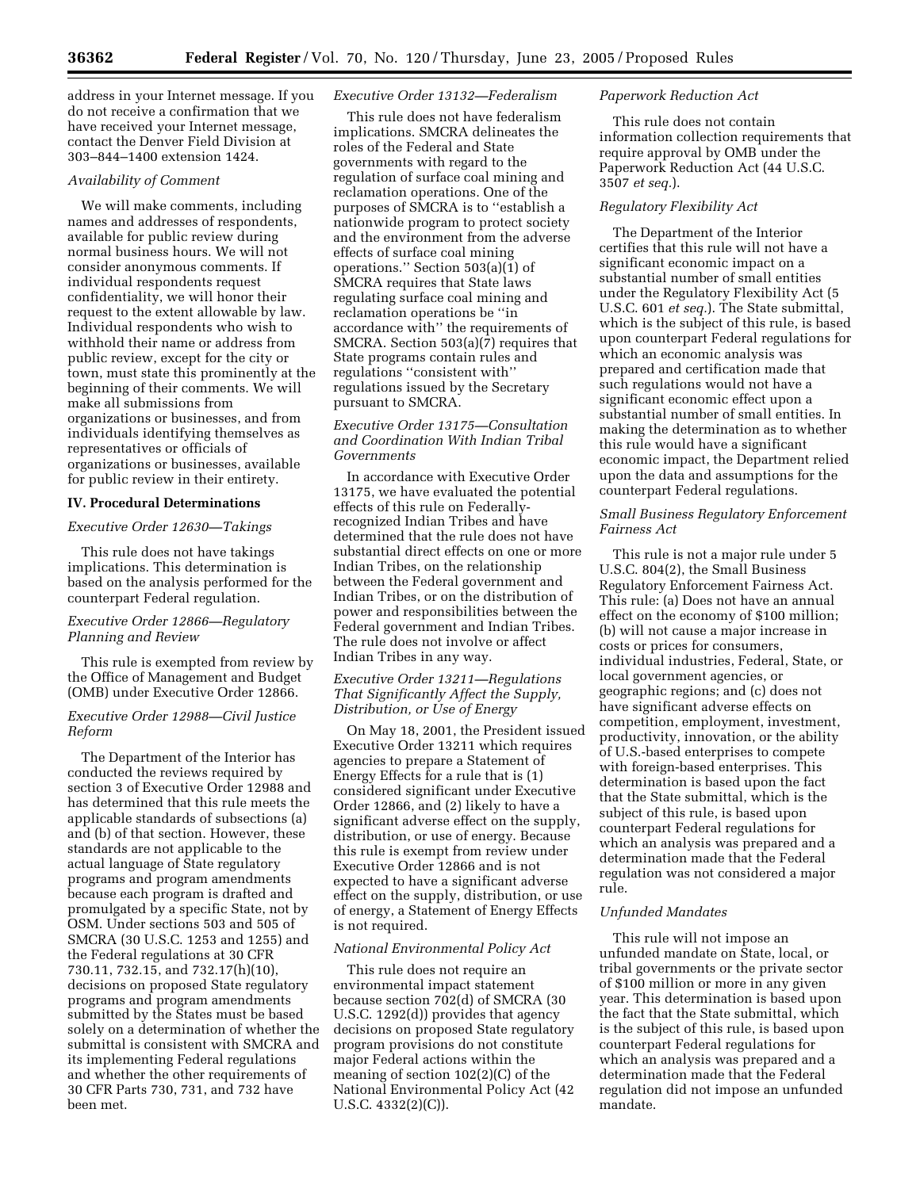address in your Internet message. If you do not receive a confirmation that we have received your Internet message, contact the Denver Field Division at 303–844–1400 extension 1424.

### *Availability of Comment*

We will make comments, including names and addresses of respondents, available for public review during normal business hours. We will not consider anonymous comments. If individual respondents request confidentiality, we will honor their request to the extent allowable by law. Individual respondents who wish to withhold their name or address from public review, except for the city or town, must state this prominently at the beginning of their comments. We will make all submissions from organizations or businesses, and from individuals identifying themselves as representatives or officials of organizations or businesses, available for public review in their entirety.

#### **IV. Procedural Determinations**

#### *Executive Order 12630—Takings*

This rule does not have takings implications. This determination is based on the analysis performed for the counterpart Federal regulation.

## *Executive Order 12866—Regulatory Planning and Review*

This rule is exempted from review by the Office of Management and Budget (OMB) under Executive Order 12866.

## *Executive Order 12988—Civil Justice Reform*

The Department of the Interior has conducted the reviews required by section 3 of Executive Order 12988 and has determined that this rule meets the applicable standards of subsections (a) and (b) of that section. However, these standards are not applicable to the actual language of State regulatory programs and program amendments because each program is drafted and promulgated by a specific State, not by OSM. Under sections 503 and 505 of SMCRA (30 U.S.C. 1253 and 1255) and the Federal regulations at 30 CFR 730.11, 732.15, and 732.17(h)(10), decisions on proposed State regulatory programs and program amendments submitted by the States must be based solely on a determination of whether the submittal is consistent with SMCRA and its implementing Federal regulations and whether the other requirements of 30 CFR Parts 730, 731, and 732 have been met.

### *Executive Order 13132—Federalism*

This rule does not have federalism implications. SMCRA delineates the roles of the Federal and State governments with regard to the regulation of surface coal mining and reclamation operations. One of the purposes of SMCRA is to ''establish a nationwide program to protect society and the environment from the adverse effects of surface coal mining operations.'' Section 503(a)(1) of SMCRA requires that State laws regulating surface coal mining and reclamation operations be ''in accordance with'' the requirements of SMCRA. Section 503(a)(7) requires that State programs contain rules and regulations ''consistent with'' regulations issued by the Secretary pursuant to SMCRA.

## *Executive Order 13175—Consultation and Coordination With Indian Tribal Governments*

In accordance with Executive Order 13175, we have evaluated the potential effects of this rule on Federallyrecognized Indian Tribes and have determined that the rule does not have substantial direct effects on one or more Indian Tribes, on the relationship between the Federal government and Indian Tribes, or on the distribution of power and responsibilities between the Federal government and Indian Tribes. The rule does not involve or affect Indian Tribes in any way.

## *Executive Order 13211—Regulations That Significantly Affect the Supply, Distribution, or Use of Energy*

On May 18, 2001, the President issued Executive Order 13211 which requires agencies to prepare a Statement of Energy Effects for a rule that is (1) considered significant under Executive Order 12866, and (2) likely to have a significant adverse effect on the supply, distribution, or use of energy. Because this rule is exempt from review under Executive Order 12866 and is not expected to have a significant adverse effect on the supply, distribution, or use of energy, a Statement of Energy Effects is not required.

## *National Environmental Policy Act*

This rule does not require an environmental impact statement because section 702(d) of SMCRA (30 U.S.C. 1292(d)) provides that agency decisions on proposed State regulatory program provisions do not constitute major Federal actions within the meaning of section 102(2)(C) of the National Environmental Policy Act (42 U.S.C. 4332(2)(C)).

### *Paperwork Reduction Act*

This rule does not contain information collection requirements that require approval by OMB under the Paperwork Reduction Act (44 U.S.C. 3507 *et seq.*).

## *Regulatory Flexibility Act*

The Department of the Interior certifies that this rule will not have a significant economic impact on a substantial number of small entities under the Regulatory Flexibility Act (5 U.S.C. 601 *et seq.*). The State submittal, which is the subject of this rule, is based upon counterpart Federal regulations for which an economic analysis was prepared and certification made that such regulations would not have a significant economic effect upon a substantial number of small entities. In making the determination as to whether this rule would have a significant economic impact, the Department relied upon the data and assumptions for the counterpart Federal regulations.

### *Small Business Regulatory Enforcement Fairness Act*

This rule is not a major rule under 5 U.S.C. 804(2), the Small Business Regulatory Enforcement Fairness Act. This rule: (a) Does not have an annual effect on the economy of \$100 million; (b) will not cause a major increase in costs or prices for consumers, individual industries, Federal, State, or local government agencies, or geographic regions; and (c) does not have significant adverse effects on competition, employment, investment, productivity, innovation, or the ability of U.S.-based enterprises to compete with foreign-based enterprises. This determination is based upon the fact that the State submittal, which is the subject of this rule, is based upon counterpart Federal regulations for which an analysis was prepared and a determination made that the Federal regulation was not considered a major rule.

### *Unfunded Mandates*

This rule will not impose an unfunded mandate on State, local, or tribal governments or the private sector of \$100 million or more in any given year. This determination is based upon the fact that the State submittal, which is the subject of this rule, is based upon counterpart Federal regulations for which an analysis was prepared and a determination made that the Federal regulation did not impose an unfunded mandate.